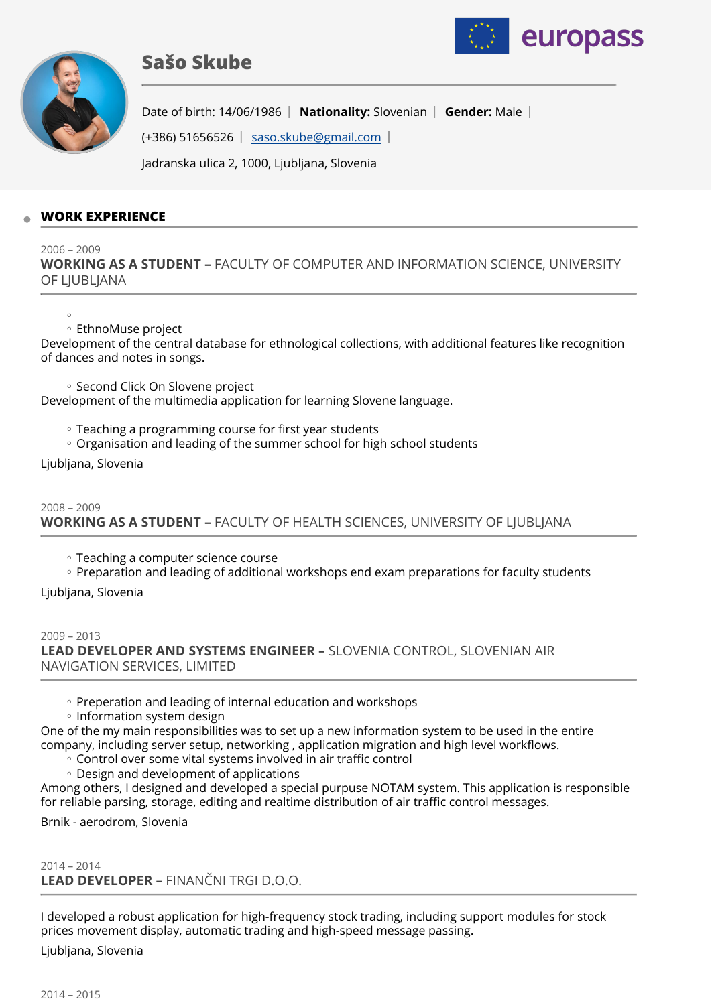





Date of birth: 14/06/1986 | Nationality: Slovenian | Gender: Male |

 $(+386)$  51656526 [saso.skube@gmail.com](mailto:saso.skube@gmail.com)

Jadranska ulica 2, 1000, Ljubljana, Slovenia

## **WORK EXPERIENCE**

2006 – 2009

**WORKING AS A STUDENT –** FACULTY OF COMPUTER AND INFORMATION SCIENCE, UNIVERSITY OF LIUBLIANA

 $^{\circ}$ 

### EthnoMuse project ◦

Development of the central database for ethnological collections, with additional features like recognition of dances and notes in songs.

◦ Second Click On Slovene project

Development of the multimedia application for learning Slovene language.

Teaching a programming course for first year students ◦

◦ Organisation and leading of the summer school for high school students

Ljubljana, Slovenia

# 2008 – 2009 **WORKING AS A STUDENT –** FACULTY OF HEALTH SCIENCES, UNIVERSITY OF LJUBLJANA

Teaching a computer science course ◦

◦ Preparation and leading of additional workshops end exam preparations for faculty students

Ljubljana, Slovenia

2009 – 2013 **LEAD DEVELOPER AND SYSTEMS ENGINEER –** SLOVENIA CONTROL, SLOVENIAN AIR NAVIGATION SERVICES, LIMITED

- Preperation and leading of internal education and workshops
- Information system design

One of the my main responsibilities was to set up a new information system to be used in the entire company, including server setup, networking , application migration and high level workflows.

- Control over some vital systems involved in air traffic control
- Design and development of applications ◦

Among others, I designed and developed a special purpuse NOTAM system. This application is responsible for reliable parsing, storage, editing and realtime distribution of air traffic control messages.

Brnik - aerodrom, Slovenia

2014 – 2014 **LEAD DEVELOPER –** FINANČNI TRGI D.O.O.

I developed a robust application for high-frequency stock trading, including support modules for stock prices movement display, automatic trading and high-speed message passing.

Ljubljana, Slovenia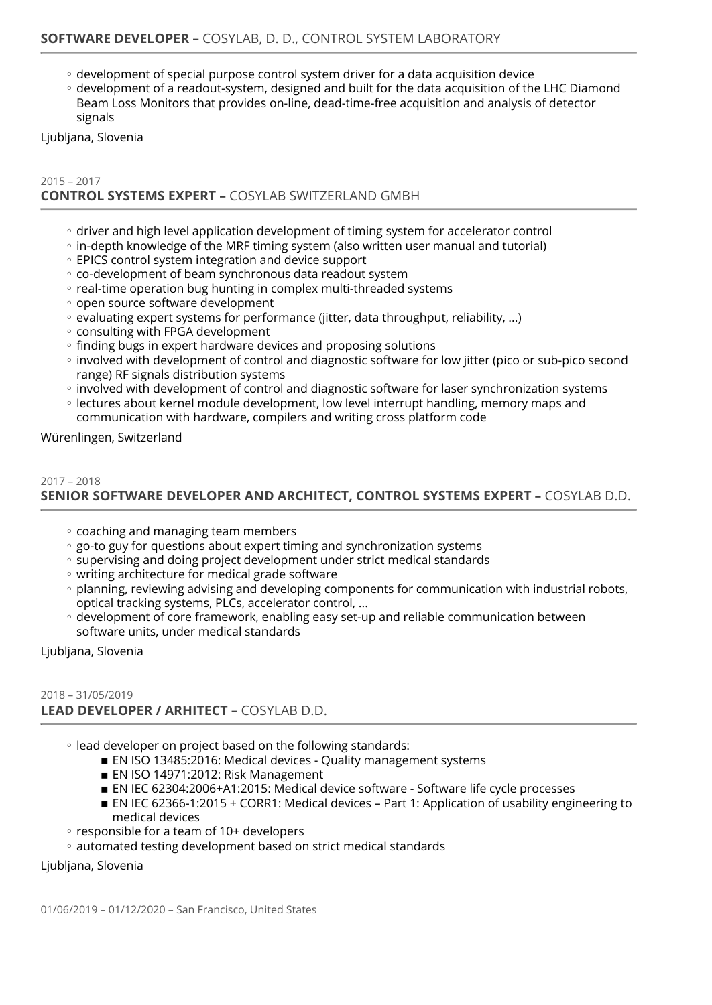- development of special purpose control system driver for a data acquisition device
- development of a readout-system, designed and built for the data acquisition of the LHC Diamond Beam Loss Monitors that provides on-line, dead-time-free acquisition and analysis of detector signals

Ljubljana, Slovenia

## 2015 – 2017 **CONTROL SYSTEMS EXPERT –** COSYLAB SWITZERLAND GMBH

- driver and high level application development of timing system for accelerator control
- in-depth knowledge of the MRF timing system (also written user manual and tutorial)
- EPICS control system integration and device support ◦
- co-development of beam synchronous data readout system
- real-time operation bug hunting in complex multi-threaded systems
- open source software development
- evaluating expert systems for performance (jitter, data throughput, reliability, ...)
- consulting with FPGA development
- finding bugs in expert hardware devices and proposing solutions ◦
- involved with development of control and diagnostic software for low jitter (pico or sub-pico second range) RF signals distribution systems
- involved with development of control and diagnostic software for laser synchronization systems
- lectures about kernel module development, low level interrupt handling, memory maps and communication with hardware, compilers and writing cross platform code

Würenlingen, Switzerland

### 2017 – 2018

**SENIOR SOFTWARE DEVELOPER AND ARCHITECT, CONTROL SYSTEMS EXPERT –** COSYLAB D.D.

- coaching and managing team members
- go-to guy for questions about expert timing and synchronization systems
- supervising and doing project development under strict medical standards
- writing architecture for medical grade software
- planning, reviewing advising and developing components for communication with industrial robots, optical tracking systems, PLCs, accelerator control, ...
- development of core framework, enabling easy set-up and reliable communication between software units, under medical standards

Ljubljana, Slovenia

### 2018 – 31/05/2019 **LEAD DEVELOPER / ARHITECT –** COSYLAB D.D.

- lead developer on project based on the following standards:
	- EN ISO 13485:2016: Medical devices Quality management systems
	- EN ISO 14971:2012: Risk Management
	- EN IEC 62304:2006+A1:2015: Medical device software Software life cycle processes
	- EN IEC 62366-1:2015 + CORR1: Medical devices Part 1: Application of usability engineering to medical devices
- responsible for a team of 10+ developers
- automated testing development based on strict medical standards

Ljubljana, Slovenia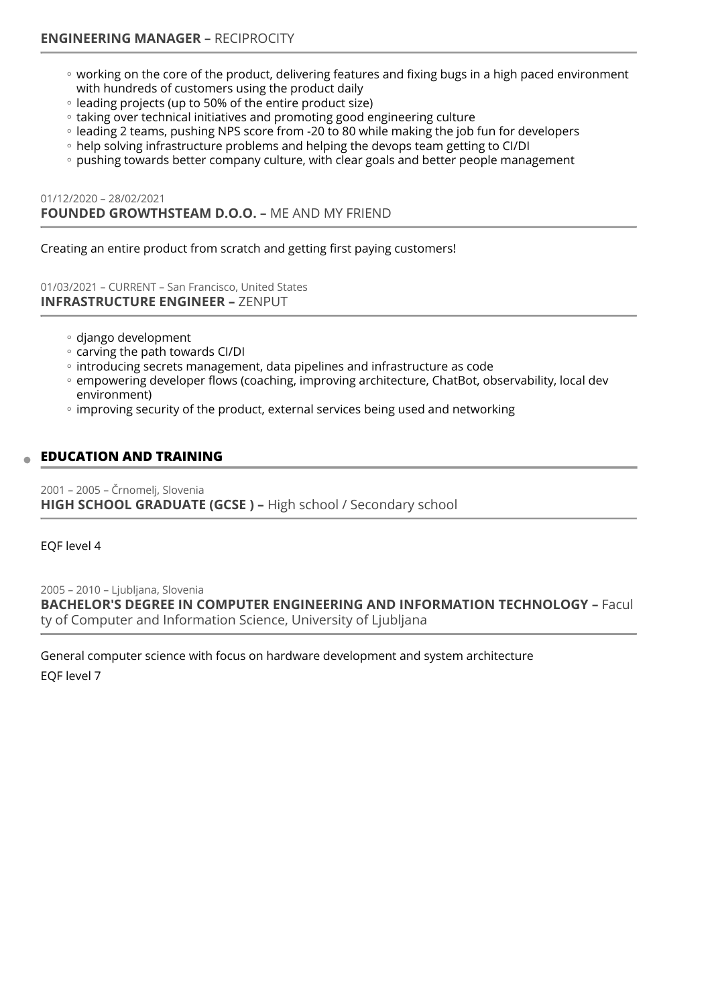- working on the core of the product, delivering features and fixing bugs in a high paced environment with hundreds of customers using the product daily
- leading projects (up to 50% of the entire product size)
- taking over technical initiatives and promoting good engineering culture ◦
- leading 2 teams, pushing NPS score from -20 to 80 while making the job fun for developers
- help solving infrastructure problems and helping the devops team getting to Cl/DI
- pushing towards better company culture, with clear goals and better people management

01/12/2020 – 28/02/2021 **FOUNDED GROWTHSTEAM D.O.O. –** ME AND MY FRIEND

Creating an entire product from scratch and getting first paying customers!

01/03/2021 – CURRENT – San Francisco, United States **INFRASTRUCTURE ENGINEER –** ZENPUT

- django development ◦
- carving the path towards CI/DI
- introducing secrets management, data pipelines and infrastructure as code ◦
- empowering developer flows (coaching, improving architecture, ChatBot, observability, local dev environment)
- improving security of the product, external services being used and networking

## **EDUCATION AND TRAINING**

2001 – 2005 – Črnomelj, Slovenia **HIGH SCHOOL GRADUATE (GCSE ) –** High school / Secondary school

EQF level 4

2005 – 2010 – Ljubljana, Slovenia **BACHELOR'S DEGREE IN COMPUTER ENGINEERING AND INFORMATION TECHNOLOGY –** Facul ty of Computer and Information Science, University of Ljubljana

General computer science with focus on hardware development and system architecture EQF level 7